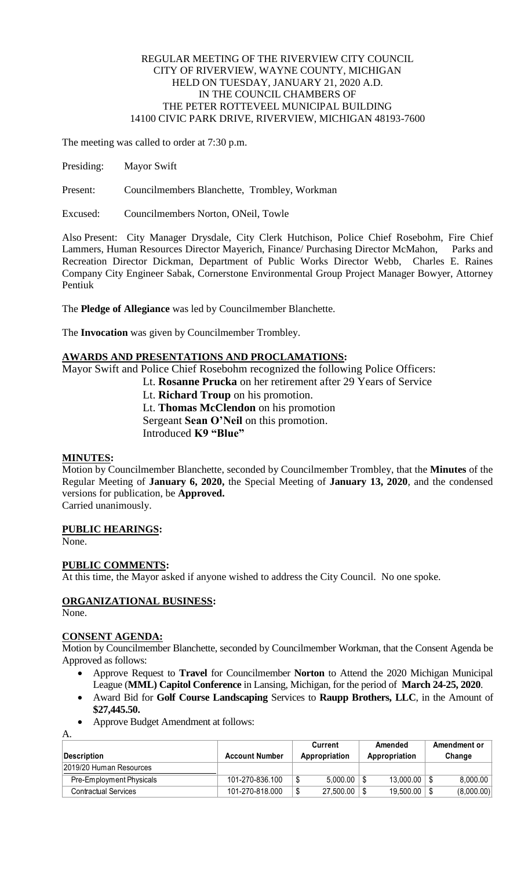### REGULAR MEETING OF THE RIVERVIEW CITY COUNCIL CITY OF RIVERVIEW, WAYNE COUNTY, MICHIGAN HELD ON TUESDAY, JANUARY 21, 2020 A.D. IN THE COUNCIL CHAMBERS OF THE PETER ROTTEVEEL MUNICIPAL BUILDING 14100 CIVIC PARK DRIVE, RIVERVIEW, MICHIGAN 48193-7600

The meeting was called to order at 7:30 p.m.

Presiding: Mayor Swift

Present: Councilmembers Blanchette, Trombley, Workman

Excused: Councilmembers Norton, ONeil, Towle

Also Present: City Manager Drysdale, City Clerk Hutchison, Police Chief Rosebohm, Fire Chief Lammers, Human Resources Director Mayerich, Finance/ Purchasing Director McMahon, Parks and Recreation Director Dickman, Department of Public Works Director Webb, Charles E. Raines Company City Engineer Sabak, Cornerstone Environmental Group Project Manager Bowyer, Attorney Pentiuk

The **Pledge of Allegiance** was led by Councilmember Blanchette.

The **Invocation** was given by Councilmember Trombley.

### **AWARDS AND PRESENTATIONS AND PROCLAMATIONS:**

Mayor Swift and Police Chief Rosebohm recognized the following Police Officers:

Lt. **Rosanne Prucka** on her retirement after 29 Years of Service

Lt. **Richard Troup** on his promotion. Lt. **Thomas McClendon** on his promotion Sergeant **Sean O'Neil** on this promotion.

Introduced **K9 "Blue"**

#### **MINUTES:**

Motion by Councilmember Blanchette, seconded by Councilmember Trombley, that the **Minutes** of the Regular Meeting of **January 6, 2020,** the Special Meeting of **January 13, 2020**, and the condensed versions for publication, be **Approved.** Carried unanimously.

# **PUBLIC HEARINGS:**

None.

#### **PUBLIC COMMENTS:**

At this time, the Mayor asked if anyone wished to address the City Council. No one spoke.

# **ORGANIZATIONAL BUSINESS:**

None.

A.

#### **CONSENT AGENDA:**

Motion by Councilmember Blanchette, seconded by Councilmember Workman, that the Consent Agenda be Approved as follows:

- Approve Request to **Travel** for Councilmember **Norton** to Attend the 2020 Michigan Municipal League (**MML) Capitol Conference** in Lansing, Michigan, for the period of **March 24-25, 2020**.
- Award Bid for **Golf Course Landscaping** Services to **Raupp Brothers, LLC**, in the Amount of **\$27,445.50.**
- Approve Budget Amendment at follows:

| Description              | <b>Account Number</b> | Current<br>Appropriation | Amended<br>Appropriation | Amendment or<br>Change |
|--------------------------|-----------------------|--------------------------|--------------------------|------------------------|
| 2019/20 Human Resources  |                       |                          |                          |                        |
| Pre-Employment Physicals | 101-270-836.100       | 5.000.00                 | 13.000.00                | 8.000.00               |
| Contractual Services     | 101-270-818.000       | 27,500.00                | 19.500.00                | (8,000.00)             |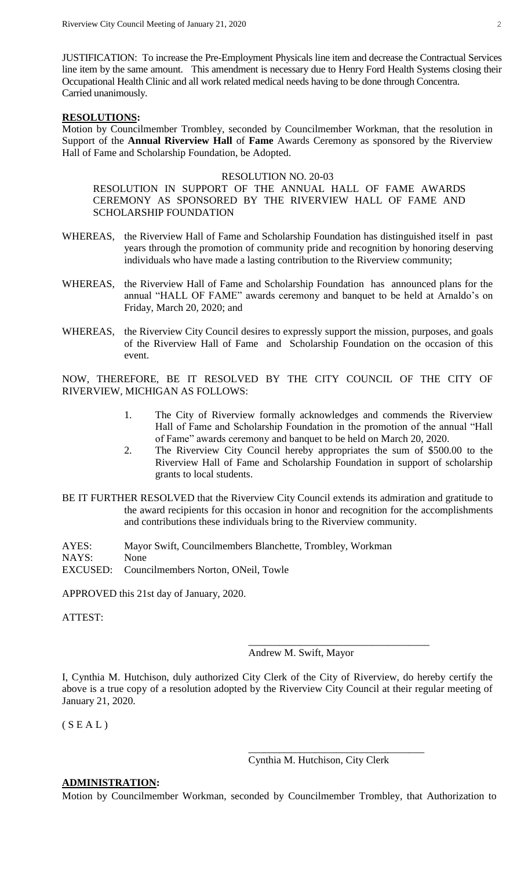JUSTIFICATION: To increase the Pre-Employment Physicals line item and decrease the Contractual Services line item by the same amount. This amendment is necessary due to Henry Ford Health Systems closing their Occupational Health Clinic and all work related medical needs having to be done through Concentra. Carried unanimously.

### **RESOLUTIONS:**

Motion by Councilmember Trombley, seconded by Councilmember Workman, that the resolution in Support of the **Annual Riverview Hall** of **Fame** Awards Ceremony as sponsored by the Riverview Hall of Fame and Scholarship Foundation, be Adopted.

### RESOLUTION NO. 20-03

RESOLUTION IN SUPPORT OF THE ANNUAL HALL OF FAME AWARDS CEREMONY AS SPONSORED BY THE RIVERVIEW HALL OF FAME AND SCHOLARSHIP FOUNDATION

- WHEREAS, the Riverview Hall of Fame and Scholarship Foundation has distinguished itself in past years through the promotion of community pride and recognition by honoring deserving individuals who have made a lasting contribution to the Riverview community;
- WHEREAS, the Riverview Hall of Fame and Scholarship Foundation has announced plans for the annual "HALL OF FAME" awards ceremony and banquet to be held at Arnaldo's on Friday, March 20, 2020; and
- WHEREAS, the Riverview City Council desires to expressly support the mission, purposes, and goals of the Riverview Hall of Fame and Scholarship Foundation on the occasion of this event.

NOW, THEREFORE, BE IT RESOLVED BY THE CITY COUNCIL OF THE CITY OF RIVERVIEW, MICHIGAN AS FOLLOWS:

- 1. The City of Riverview formally acknowledges and commends the Riverview Hall of Fame and Scholarship Foundation in the promotion of the annual "Hall of Fame" awards ceremony and banquet to be held on March 20, 2020.
- 2. The Riverview City Council hereby appropriates the sum of \$500.00 to the Riverview Hall of Fame and Scholarship Foundation in support of scholarship grants to local students.
- BE IT FURTHER RESOLVED that the Riverview City Council extends its admiration and gratitude to the award recipients for this occasion in honor and recognition for the accomplishments and contributions these individuals bring to the Riverview community.

AYES: Mayor Swift, Councilmembers Blanchette, Trombley, Workman NAYS: None EXCUSED: Councilmembers Norton, ONeil, Towle

APPROVED this 21st day of January, 2020.

ATTEST:

Andrew M. Swift, Mayor

\_\_\_\_\_\_\_\_\_\_\_\_\_\_\_\_\_\_\_\_\_\_\_\_\_\_\_\_\_\_\_\_\_\_\_

I, Cynthia M. Hutchison, duly authorized City Clerk of the City of Riverview, do hereby certify the above is a true copy of a resolution adopted by the Riverview City Council at their regular meeting of January 21, 2020.

 $(S E A L)$ 

Cynthia M. Hutchison, City Clerk

\_\_\_\_\_\_\_\_\_\_\_\_\_\_\_\_\_\_\_\_\_\_\_\_\_\_\_\_\_\_\_\_\_\_

# **ADMINISTRATION:**

Motion by Councilmember Workman, seconded by Councilmember Trombley, that Authorization to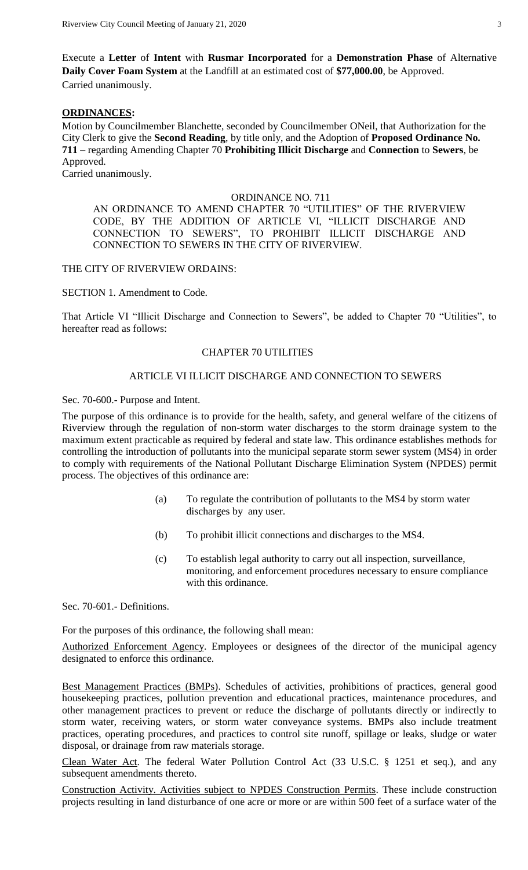Execute a **Letter** of **Intent** with **Rusmar Incorporated** for a **Demonstration Phase** of Alternative **Daily Cover Foam System** at the Landfill at an estimated cost of **\$77,000.00**, be Approved. Carried unanimously.

# **ORDINANCES:**

Motion by Councilmember Blanchette, seconded by Councilmember ONeil, that Authorization for the City Clerk to give the **Second Reading**, by title only, and the Adoption of **Proposed Ordinance No. 711** – regarding Amending Chapter 70 **Prohibiting Illicit Discharge** and **Connection** to **Sewers**, be Approved. Carried unanimously.

#### ORDINANCE NO. 711

AN ORDINANCE TO AMEND CHAPTER 70 "UTILITIES" OF THE RIVERVIEW CODE, BY THE ADDITION OF ARTICLE VI, "ILLICIT DISCHARGE AND CONNECTION TO SEWERS", TO PROHIBIT ILLICIT DISCHARGE AND CONNECTION TO SEWERS IN THE CITY OF RIVERVIEW.

### THE CITY OF RIVERVIEW ORDAINS:

SECTION 1. Amendment to Code.

That Article VI "Illicit Discharge and Connection to Sewers", be added to Chapter 70 "Utilities", to hereafter read as follows:

# CHAPTER 70 UTILITIES

# ARTICLE VI ILLICIT DISCHARGE AND CONNECTION TO SEWERS

Sec. 70-600.- Purpose and Intent.

The purpose of this ordinance is to provide for the health, safety, and general welfare of the citizens of Riverview through the regulation of non-storm water discharges to the storm drainage system to the maximum extent practicable as required by federal and state law. This ordinance establishes methods for controlling the introduction of pollutants into the municipal separate storm sewer system (MS4) in order to comply with requirements of the National Pollutant Discharge Elimination System (NPDES) permit process. The objectives of this ordinance are:

- (a) To regulate the contribution of pollutants to the MS4 by storm water discharges by any user.
- (b) To prohibit illicit connections and discharges to the MS4.
- (c) To establish legal authority to carry out all inspection, surveillance, monitoring, and enforcement procedures necessary to ensure compliance with this ordinance.

Sec. 70-601.- Definitions.

For the purposes of this ordinance, the following shall mean:

Authorized Enforcement Agency. Employees or designees of the director of the municipal agency designated to enforce this ordinance.

Best Management Practices (BMPs). Schedules of activities, prohibitions of practices, general good housekeeping practices, pollution prevention and educational practices, maintenance procedures, and other management practices to prevent or reduce the discharge of pollutants directly or indirectly to storm water, receiving waters, or storm water conveyance systems. BMPs also include treatment practices, operating procedures, and practices to control site runoff, spillage or leaks, sludge or water disposal, or drainage from raw materials storage.

Clean Water Act. The federal Water Pollution Control Act (33 U.S.C. § 1251 et seq.), and any subsequent amendments thereto.

Construction Activity. Activities subject to NPDES Construction Permits. These include construction projects resulting in land disturbance of one acre or more or are within 500 feet of a surface water of the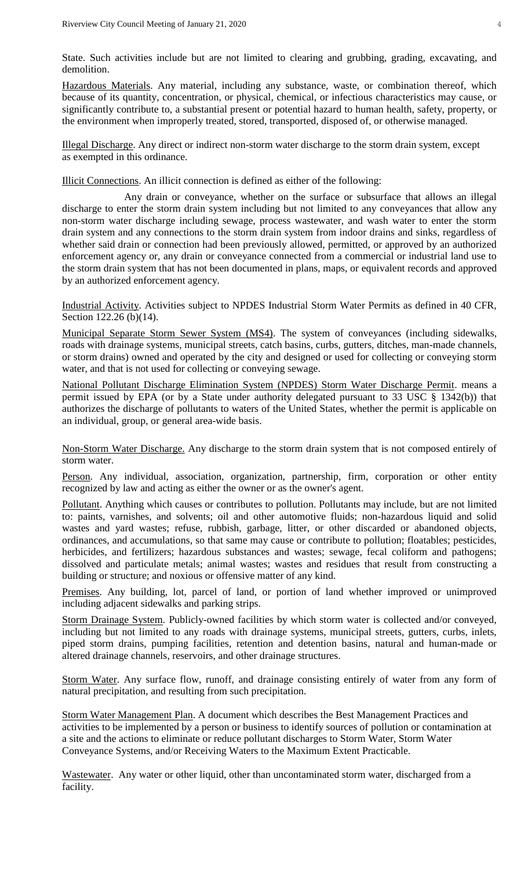State. Such activities include but are not limited to clearing and grubbing, grading, excavating, and demolition.

Hazardous Materials. Any material, including any substance, waste, or combination thereof, which because of its quantity, concentration, or physical, chemical, or infectious characteristics may cause, or significantly contribute to, a substantial present or potential hazard to human health, safety, property, or the environment when improperly treated, stored, transported, disposed of, or otherwise managed.

Illegal Discharge. Any direct or indirect non-storm water discharge to the storm drain system, except as exempted in this ordinance.

Illicit Connections. An illicit connection is defined as either of the following:

Any drain or conveyance, whether on the surface or subsurface that allows an illegal discharge to enter the storm drain system including but not limited to any conveyances that allow any non-storm water discharge including sewage, process wastewater, and wash water to enter the storm drain system and any connections to the storm drain system from indoor drains and sinks, regardless of whether said drain or connection had been previously allowed, permitted, or approved by an authorized enforcement agency or, any drain or conveyance connected from a commercial or industrial land use to the storm drain system that has not been documented in plans, maps, or equivalent records and approved by an authorized enforcement agency.

Industrial Activity. Activities subject to NPDES Industrial Storm Water Permits as defined in 40 CFR, Section 122.26 (b)(14).

Municipal Separate Storm Sewer System (MS4). The system of conveyances (including sidewalks, roads with drainage systems, municipal streets, catch basins, curbs, gutters, ditches, man-made channels, or storm drains) owned and operated by the city and designed or used for collecting or conveying storm water, and that is not used for collecting or conveying sewage.

National Pollutant Discharge Elimination System (NPDES) Storm Water Discharge Permit. means a permit issued by EPA (or by a State under authority delegated pursuant to 33 USC § 1342(b)) that authorizes the discharge of pollutants to waters of the United States, whether the permit is applicable on an individual, group, or general area-wide basis.

Non-Storm Water Discharge. Any discharge to the storm drain system that is not composed entirely of storm water.

Person. Any individual, association, organization, partnership, firm, corporation or other entity recognized by law and acting as either the owner or as the owner's agent.

Pollutant. Anything which causes or contributes to pollution. Pollutants may include, but are not limited to: paints, varnishes, and solvents; oil and other automotive fluids; non-hazardous liquid and solid wastes and yard wastes; refuse, rubbish, garbage, litter, or other discarded or abandoned objects, ordinances, and accumulations, so that same may cause or contribute to pollution; floatables; pesticides, herbicides, and fertilizers; hazardous substances and wastes; sewage, fecal coliform and pathogens; dissolved and particulate metals; animal wastes; wastes and residues that result from constructing a building or structure; and noxious or offensive matter of any kind.

Premises. Any building, lot, parcel of land, or portion of land whether improved or unimproved including adjacent sidewalks and parking strips.

Storm Drainage System. Publicly-owned facilities by which storm water is collected and/or conveyed, including but not limited to any roads with drainage systems, municipal streets, gutters, curbs, inlets, piped storm drains, pumping facilities, retention and detention basins, natural and human-made or altered drainage channels, reservoirs, and other drainage structures.

Storm Water. Any surface flow, runoff, and drainage consisting entirely of water from any form of natural precipitation, and resulting from such precipitation.

Storm Water Management Plan. A document which describes the Best Management Practices and activities to be implemented by a person or business to identify sources of pollution or contamination at a site and the actions to eliminate or reduce pollutant discharges to Storm Water, Storm Water Conveyance Systems, and/or Receiving Waters to the Maximum Extent Practicable.

Wastewater. Any water or other liquid, other than uncontaminated storm water, discharged from a facility.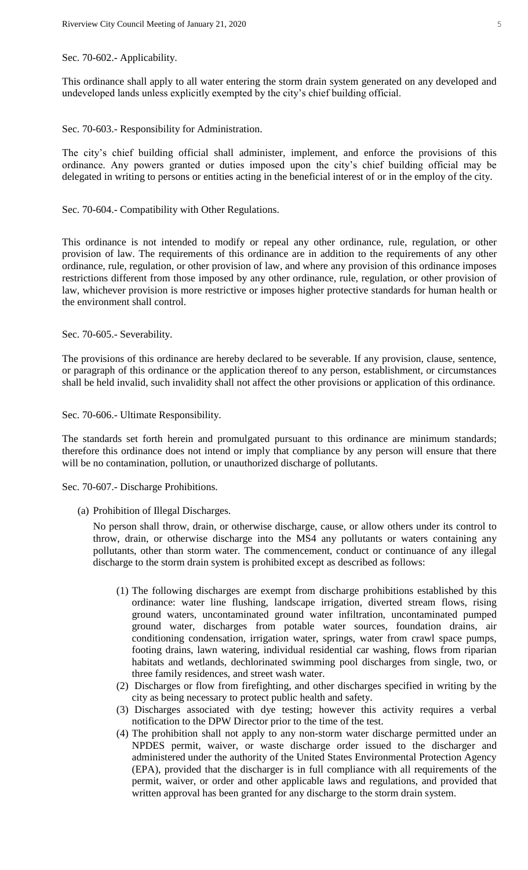#### Sec. 70-602.- Applicability.

This ordinance shall apply to all water entering the storm drain system generated on any developed and undeveloped lands unless explicitly exempted by the city's chief building official.

Sec. 70-603.- Responsibility for Administration.

The city's chief building official shall administer, implement, and enforce the provisions of this ordinance. Any powers granted or duties imposed upon the city's chief building official may be delegated in writing to persons or entities acting in the beneficial interest of or in the employ of the city.

Sec. 70-604.- Compatibility with Other Regulations.

This ordinance is not intended to modify or repeal any other ordinance, rule, regulation, or other provision of law. The requirements of this ordinance are in addition to the requirements of any other ordinance, rule, regulation, or other provision of law, and where any provision of this ordinance imposes restrictions different from those imposed by any other ordinance, rule, regulation, or other provision of law, whichever provision is more restrictive or imposes higher protective standards for human health or the environment shall control.

Sec. 70-605.- Severability.

The provisions of this ordinance are hereby declared to be severable. If any provision, clause, sentence, or paragraph of this ordinance or the application thereof to any person, establishment, or circumstances shall be held invalid, such invalidity shall not affect the other provisions or application of this ordinance.

Sec. 70-606.- Ultimate Responsibility.

The standards set forth herein and promulgated pursuant to this ordinance are minimum standards; therefore this ordinance does not intend or imply that compliance by any person will ensure that there will be no contamination, pollution, or unauthorized discharge of pollutants.

Sec. 70-607.- Discharge Prohibitions.

(a) Prohibition of Illegal Discharges.

No person shall throw, drain, or otherwise discharge, cause, or allow others under its control to throw, drain, or otherwise discharge into the MS4 any pollutants or waters containing any pollutants, other than storm water. The commencement, conduct or continuance of any illegal discharge to the storm drain system is prohibited except as described as follows:

- (1) The following discharges are exempt from discharge prohibitions established by this ordinance: water line flushing, landscape irrigation, diverted stream flows, rising ground waters, uncontaminated ground water infiltration, uncontaminated pumped ground water, discharges from potable water sources, foundation drains, air conditioning condensation, irrigation water, springs, water from crawl space pumps, footing drains, lawn watering, individual residential car washing, flows from riparian habitats and wetlands, dechlorinated swimming pool discharges from single, two, or three family residences, and street wash water.
- (2) Discharges or flow from firefighting, and other discharges specified in writing by the city as being necessary to protect public health and safety.
- (3) Discharges associated with dye testing; however this activity requires a verbal notification to the DPW Director prior to the time of the test.
- (4) The prohibition shall not apply to any non-storm water discharge permitted under an NPDES permit, waiver, or waste discharge order issued to the discharger and administered under the authority of the United States Environmental Protection Agency (EPA), provided that the discharger is in full compliance with all requirements of the permit, waiver, or order and other applicable laws and regulations, and provided that written approval has been granted for any discharge to the storm drain system.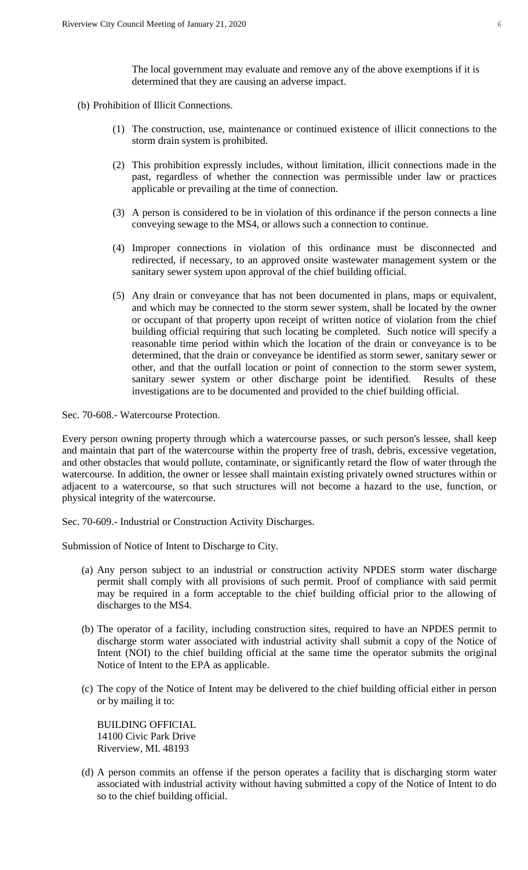The local government may evaluate and remove any of the above exemptions if it is determined that they are causing an adverse impact.

- (b) Prohibition of Illicit Connections.
	- (1) The construction, use, maintenance or continued existence of illicit connections to the storm drain system is prohibited.
	- (2) This prohibition expressly includes, without limitation, illicit connections made in the past, regardless of whether the connection was permissible under law or practices applicable or prevailing at the time of connection.
	- (3) A person is considered to be in violation of this ordinance if the person connects a line conveying sewage to the MS4, or allows such a connection to continue.
	- (4) Improper connections in violation of this ordinance must be disconnected and redirected, if necessary, to an approved onsite wastewater management system or the sanitary sewer system upon approval of the chief building official.
	- (5) Any drain or conveyance that has not been documented in plans, maps or equivalent, and which may be connected to the storm sewer system, shall be located by the owner or occupant of that property upon receipt of written notice of violation from the chief building official requiring that such locating be completed. Such notice will specify a reasonable time period within which the location of the drain or conveyance is to be determined, that the drain or conveyance be identified as storm sewer, sanitary sewer or other, and that the outfall location or point of connection to the storm sewer system, sanitary sewer system or other discharge point be identified. Results of these investigations are to be documented and provided to the chief building official.

Sec. 70-608.- Watercourse Protection.

Every person owning property through which a watercourse passes, or such person's lessee, shall keep and maintain that part of the watercourse within the property free of trash, debris, excessive vegetation, and other obstacles that would pollute, contaminate, or significantly retard the flow of water through the watercourse. In addition, the owner or lessee shall maintain existing privately owned structures within or adjacent to a watercourse, so that such structures will not become a hazard to the use, function, or physical integrity of the watercourse.

Sec. 70-609.- Industrial or Construction Activity Discharges.

Submission of Notice of Intent to Discharge to City.

- (a) Any person subject to an industrial or construction activity NPDES storm water discharge permit shall comply with all provisions of such permit. Proof of compliance with said permit may be required in a form acceptable to the chief building official prior to the allowing of discharges to the MS4.
- (b) The operator of a facility, including construction sites, required to have an NPDES permit to discharge storm water associated with industrial activity shall submit a copy of the Notice of Intent (NOI) to the chief building official at the same time the operator submits the original Notice of Intent to the EPA as applicable.
- (c) The copy of the Notice of Intent may be delivered to the chief building official either in person or by mailing it to:

BUILDING OFFICIAL 14100 Civic Park Drive Riverview, MI. 48193

(d) A person commits an offense if the person operates a facility that is discharging storm water associated with industrial activity without having submitted a copy of the Notice of Intent to do so to the chief building official.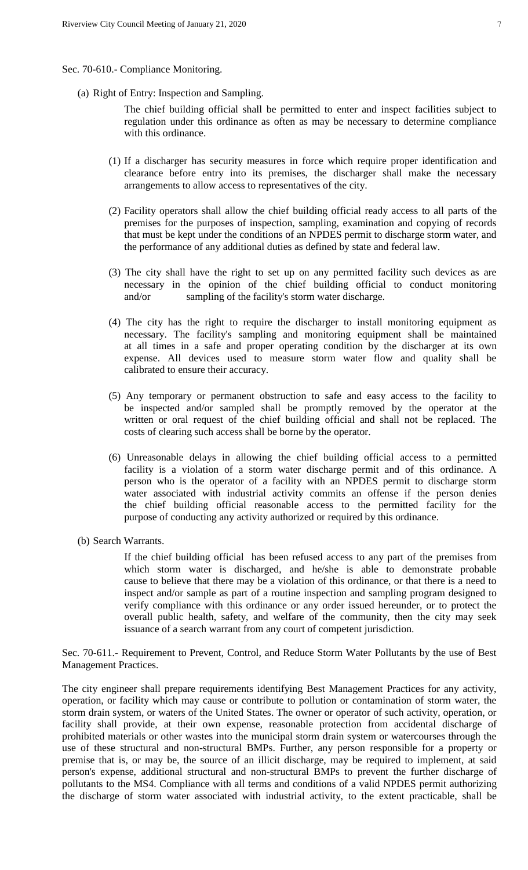- Sec. 70-610.- Compliance Monitoring.
	- (a) Right of Entry: Inspection and Sampling.

The chief building official shall be permitted to enter and inspect facilities subject to regulation under this ordinance as often as may be necessary to determine compliance with this ordinance.

- (1) If a discharger has security measures in force which require proper identification and clearance before entry into its premises, the discharger shall make the necessary arrangements to allow access to representatives of the city.
- (2) Facility operators shall allow the chief building official ready access to all parts of the premises for the purposes of inspection, sampling, examination and copying of records that must be kept under the conditions of an NPDES permit to discharge storm water, and the performance of any additional duties as defined by state and federal law.
- (3) The city shall have the right to set up on any permitted facility such devices as are necessary in the opinion of the chief building official to conduct monitoring and/or sampling of the facility's storm water discharge.
- (4) The city has the right to require the discharger to install monitoring equipment as necessary. The facility's sampling and monitoring equipment shall be maintained at all times in a safe and proper operating condition by the discharger at its own expense. All devices used to measure storm water flow and quality shall be calibrated to ensure their accuracy.
- (5) Any temporary or permanent obstruction to safe and easy access to the facility to be inspected and/or sampled shall be promptly removed by the operator at the written or oral request of the chief building official and shall not be replaced. The costs of clearing such access shall be borne by the operator.
- (6) Unreasonable delays in allowing the chief building official access to a permitted facility is a violation of a storm water discharge permit and of this ordinance. A person who is the operator of a facility with an NPDES permit to discharge storm water associated with industrial activity commits an offense if the person denies the chief building official reasonable access to the permitted facility for the purpose of conducting any activity authorized or required by this ordinance.
- (b) Search Warrants.

If the chief building official has been refused access to any part of the premises from which storm water is discharged, and he/she is able to demonstrate probable cause to believe that there may be a violation of this ordinance, or that there is a need to inspect and/or sample as part of a routine inspection and sampling program designed to verify compliance with this ordinance or any order issued hereunder, or to protect the overall public health, safety, and welfare of the community, then the city may seek issuance of a search warrant from any court of competent jurisdiction.

Sec. 70-611.- Requirement to Prevent, Control, and Reduce Storm Water Pollutants by the use of Best Management Practices.

The city engineer shall prepare requirements identifying Best Management Practices for any activity, operation, or facility which may cause or contribute to pollution or contamination of storm water, the storm drain system, or waters of the United States. The owner or operator of such activity, operation, or facility shall provide, at their own expense, reasonable protection from accidental discharge of prohibited materials or other wastes into the municipal storm drain system or watercourses through the use of these structural and non-structural BMPs. Further, any person responsible for a property or premise that is, or may be, the source of an illicit discharge, may be required to implement, at said person's expense, additional structural and non-structural BMPs to prevent the further discharge of pollutants to the MS4. Compliance with all terms and conditions of a valid NPDES permit authorizing the discharge of storm water associated with industrial activity, to the extent practicable, shall be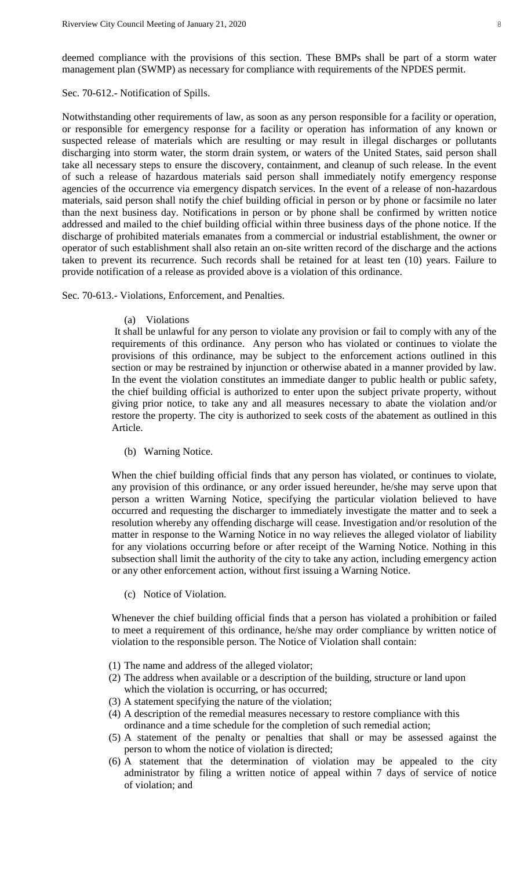deemed compliance with the provisions of this section. These BMPs shall be part of a storm water management plan (SWMP) as necessary for compliance with requirements of the NPDES permit.

#### Sec. 70-612.- Notification of Spills.

Notwithstanding other requirements of law, as soon as any person responsible for a facility or operation, or responsible for emergency response for a facility or operation has information of any known or suspected release of materials which are resulting or may result in illegal discharges or pollutants discharging into storm water, the storm drain system, or waters of the United States, said person shall take all necessary steps to ensure the discovery, containment, and cleanup of such release. In the event of such a release of hazardous materials said person shall immediately notify emergency response agencies of the occurrence via emergency dispatch services. In the event of a release of non-hazardous materials, said person shall notify the chief building official in person or by phone or facsimile no later than the next business day. Notifications in person or by phone shall be confirmed by written notice addressed and mailed to the chief building official within three business days of the phone notice. If the discharge of prohibited materials emanates from a commercial or industrial establishment, the owner or operator of such establishment shall also retain an on-site written record of the discharge and the actions taken to prevent its recurrence. Such records shall be retained for at least ten (10) years. Failure to provide notification of a release as provided above is a violation of this ordinance.

Sec. 70-613.- Violations, Enforcement, and Penalties.

(a) Violations

It shall be unlawful for any person to violate any provision or fail to comply with any of the requirements of this ordinance. Any person who has violated or continues to violate the provisions of this ordinance, may be subject to the enforcement actions outlined in this section or may be restrained by injunction or otherwise abated in a manner provided by law. In the event the violation constitutes an immediate danger to public health or public safety, the chief building official is authorized to enter upon the subject private property, without giving prior notice, to take any and all measures necessary to abate the violation and/or restore the property. The city is authorized to seek costs of the abatement as outlined in this Article.

(b) Warning Notice.

When the chief building official finds that any person has violated, or continues to violate, any provision of this ordinance, or any order issued hereunder, he/she may serve upon that person a written Warning Notice, specifying the particular violation believed to have occurred and requesting the discharger to immediately investigate the matter and to seek a resolution whereby any offending discharge will cease. Investigation and/or resolution of the matter in response to the Warning Notice in no way relieves the alleged violator of liability for any violations occurring before or after receipt of the Warning Notice. Nothing in this subsection shall limit the authority of the city to take any action, including emergency action or any other enforcement action, without first issuing a Warning Notice.

(c) Notice of Violation.

Whenever the chief building official finds that a person has violated a prohibition or failed to meet a requirement of this ordinance, he/she may order compliance by written notice of violation to the responsible person. The Notice of Violation shall contain:

- (1) The name and address of the alleged violator;
- (2) The address when available or a description of the building, structure or land upon which the violation is occurring, or has occurred;
- (3) A statement specifying the nature of the violation;
- (4) A description of the remedial measures necessary to restore compliance with this ordinance and a time schedule for the completion of such remedial action;
- (5) A statement of the penalty or penalties that shall or may be assessed against the person to whom the notice of violation is directed;
- (6) A statement that the determination of violation may be appealed to the city administrator by filing a written notice of appeal within 7 days of service of notice of violation; and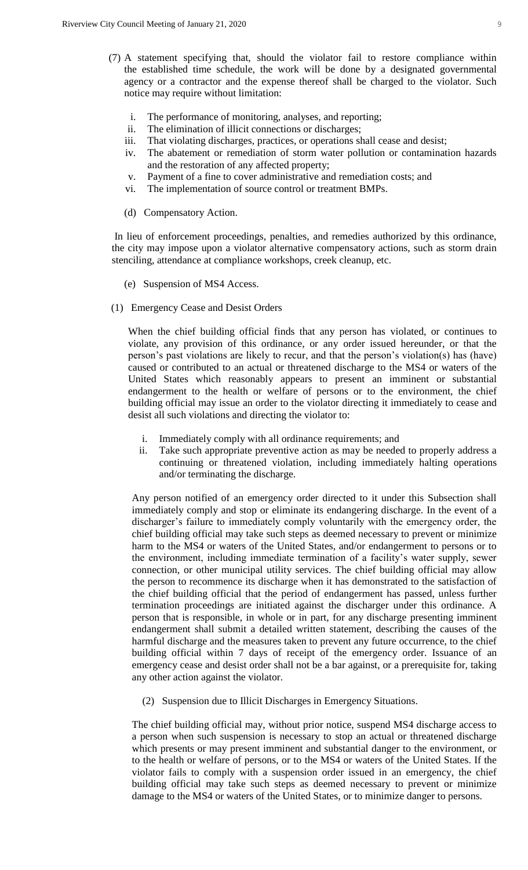- (7) A statement specifying that, should the violator fail to restore compliance within the established time schedule, the work will be done by a designated governmental agency or a contractor and the expense thereof shall be charged to the violator. Such notice may require without limitation:
	- i. The performance of monitoring, analyses, and reporting;
	- ii. The elimination of illicit connections or discharges;
	- iii. That violating discharges, practices, or operations shall cease and desist;
	- iv. The abatement or remediation of storm water pollution or contamination hazards and the restoration of any affected property;
	- v. Payment of a fine to cover administrative and remediation costs; and
	- vi. The implementation of source control or treatment BMPs.
	- (d) Compensatory Action.

In lieu of enforcement proceedings, penalties, and remedies authorized by this ordinance, the city may impose upon a violator alternative compensatory actions, such as storm drain stenciling, attendance at compliance workshops, creek cleanup, etc.

- (e) Suspension of MS4 Access.
- (1) Emergency Cease and Desist Orders

When the chief building official finds that any person has violated, or continues to violate, any provision of this ordinance, or any order issued hereunder, or that the person's past violations are likely to recur, and that the person's violation(s) has (have) caused or contributed to an actual or threatened discharge to the MS4 or waters of the United States which reasonably appears to present an imminent or substantial endangerment to the health or welfare of persons or to the environment, the chief building official may issue an order to the violator directing it immediately to cease and desist all such violations and directing the violator to:

- i. Immediately comply with all ordinance requirements; and
- ii. Take such appropriate preventive action as may be needed to properly address a continuing or threatened violation, including immediately halting operations and/or terminating the discharge.

Any person notified of an emergency order directed to it under this Subsection shall immediately comply and stop or eliminate its endangering discharge. In the event of a discharger's failure to immediately comply voluntarily with the emergency order, the chief building official may take such steps as deemed necessary to prevent or minimize harm to the MS4 or waters of the United States, and/or endangerment to persons or to the environment, including immediate termination of a facility's water supply, sewer connection, or other municipal utility services. The chief building official may allow the person to recommence its discharge when it has demonstrated to the satisfaction of the chief building official that the period of endangerment has passed, unless further termination proceedings are initiated against the discharger under this ordinance. A person that is responsible, in whole or in part, for any discharge presenting imminent endangerment shall submit a detailed written statement, describing the causes of the harmful discharge and the measures taken to prevent any future occurrence, to the chief building official within 7 days of receipt of the emergency order. Issuance of an emergency cease and desist order shall not be a bar against, or a prerequisite for, taking any other action against the violator.

(2) Suspension due to Illicit Discharges in Emergency Situations.

The chief building official may, without prior notice, suspend MS4 discharge access to a person when such suspension is necessary to stop an actual or threatened discharge which presents or may present imminent and substantial danger to the environment, or to the health or welfare of persons, or to the MS4 or waters of the United States. If the violator fails to comply with a suspension order issued in an emergency, the chief building official may take such steps as deemed necessary to prevent or minimize damage to the MS4 or waters of the United States, or to minimize danger to persons.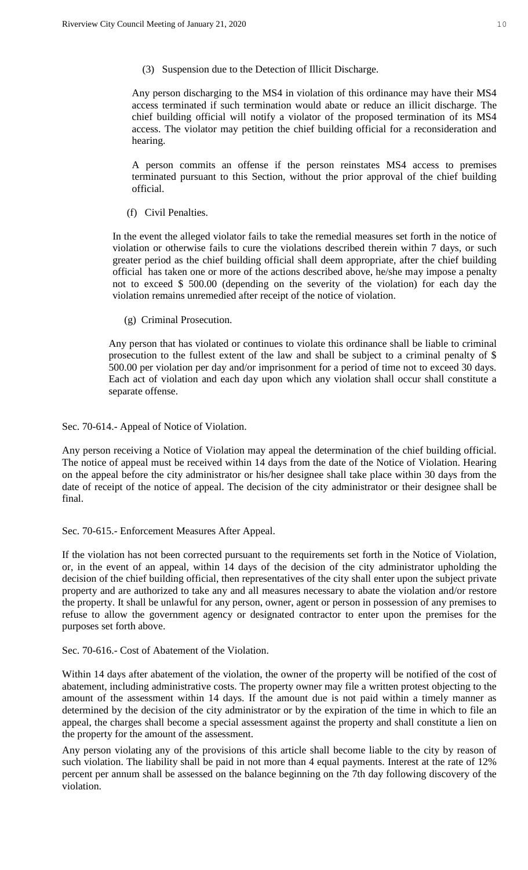(3) Suspension due to the Detection of Illicit Discharge.

Any person discharging to the MS4 in violation of this ordinance may have their MS4 access terminated if such termination would abate or reduce an illicit discharge. The chief building official will notify a violator of the proposed termination of its MS4 access. The violator may petition the chief building official for a reconsideration and hearing.

A person commits an offense if the person reinstates MS4 access to premises terminated pursuant to this Section, without the prior approval of the chief building official.

(f) Civil Penalties.

In the event the alleged violator fails to take the remedial measures set forth in the notice of violation or otherwise fails to cure the violations described therein within 7 days, or such greater period as the chief building official shall deem appropriate, after the chief building official has taken one or more of the actions described above, he/she may impose a penalty not to exceed \$ 500.00 (depending on the severity of the violation) for each day the violation remains unremedied after receipt of the notice of violation.

(g) Criminal Prosecution.

Any person that has violated or continues to violate this ordinance shall be liable to criminal prosecution to the fullest extent of the law and shall be subject to a criminal penalty of \$ 500.00 per violation per day and/or imprisonment for a period of time not to exceed 30 days. Each act of violation and each day upon which any violation shall occur shall constitute a separate offense.

Sec. 70-614.- Appeal of Notice of Violation.

Any person receiving a Notice of Violation may appeal the determination of the chief building official. The notice of appeal must be received within 14 days from the date of the Notice of Violation. Hearing on the appeal before the city administrator or his/her designee shall take place within 30 days from the date of receipt of the notice of appeal. The decision of the city administrator or their designee shall be final.

# Sec. 70-615.- Enforcement Measures After Appeal.

If the violation has not been corrected pursuant to the requirements set forth in the Notice of Violation, or, in the event of an appeal, within 14 days of the decision of the city administrator upholding the decision of the chief building official, then representatives of the city shall enter upon the subject private property and are authorized to take any and all measures necessary to abate the violation and/or restore the property. It shall be unlawful for any person, owner, agent or person in possession of any premises to refuse to allow the government agency or designated contractor to enter upon the premises for the purposes set forth above.

Sec. 70-616.- Cost of Abatement of the Violation.

Within 14 days after abatement of the violation, the owner of the property will be notified of the cost of abatement, including administrative costs. The property owner may file a written protest objecting to the amount of the assessment within 14 days. If the amount due is not paid within a timely manner as determined by the decision of the city administrator or by the expiration of the time in which to file an appeal, the charges shall become a special assessment against the property and shall constitute a lien on the property for the amount of the assessment.

Any person violating any of the provisions of this article shall become liable to the city by reason of such violation. The liability shall be paid in not more than 4 equal payments. Interest at the rate of 12% percent per annum shall be assessed on the balance beginning on the 7th day following discovery of the violation.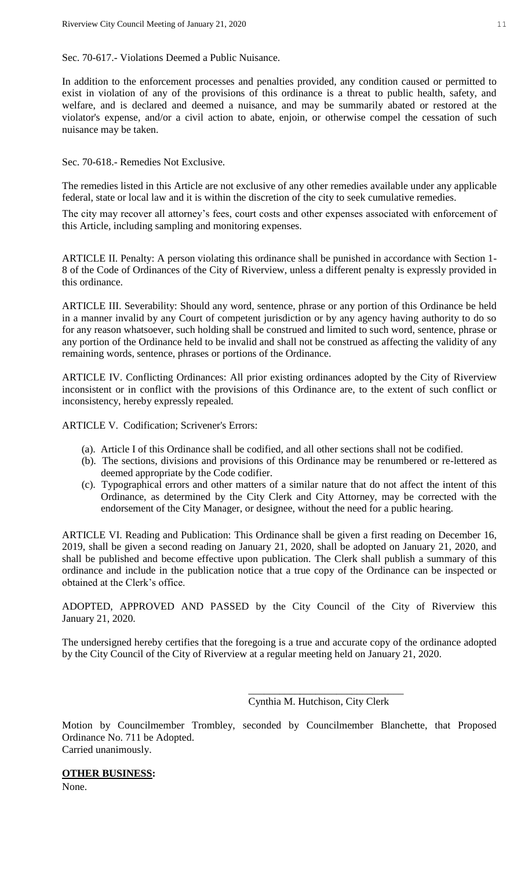Sec. 70-617.- Violations Deemed a Public Nuisance.

In addition to the enforcement processes and penalties provided, any condition caused or permitted to exist in violation of any of the provisions of this ordinance is a threat to public health, safety, and welfare, and is declared and deemed a nuisance, and may be summarily abated or restored at the violator's expense, and/or a civil action to abate, enjoin, or otherwise compel the cessation of such nuisance may be taken.

Sec. 70-618.- Remedies Not Exclusive.

The remedies listed in this Article are not exclusive of any other remedies available under any applicable federal, state or local law and it is within the discretion of the city to seek cumulative remedies.

The city may recover all attorney's fees, court costs and other expenses associated with enforcement of this Article, including sampling and monitoring expenses.

ARTICLE II. Penalty: A person violating this ordinance shall be punished in accordance with Section 1- 8 of the Code of Ordinances of the City of Riverview, unless a different penalty is expressly provided in this ordinance.

ARTICLE III. Severability: Should any word, sentence, phrase or any portion of this Ordinance be held in a manner invalid by any Court of competent jurisdiction or by any agency having authority to do so for any reason whatsoever, such holding shall be construed and limited to such word, sentence, phrase or any portion of the Ordinance held to be invalid and shall not be construed as affecting the validity of any remaining words, sentence, phrases or portions of the Ordinance.

ARTICLE IV. Conflicting Ordinances: All prior existing ordinances adopted by the City of Riverview inconsistent or in conflict with the provisions of this Ordinance are, to the extent of such conflict or inconsistency, hereby expressly repealed.

ARTICLE V. Codification; Scrivener's Errors:

- (a). Article I of this Ordinance shall be codified, and all other sections shall not be codified.
- (b). The sections, divisions and provisions of this Ordinance may be renumbered or re-lettered as deemed appropriate by the Code codifier.
- (c). Typographical errors and other matters of a similar nature that do not affect the intent of this Ordinance, as determined by the City Clerk and City Attorney, may be corrected with the endorsement of the City Manager, or designee, without the need for a public hearing.

ARTICLE VI. Reading and Publication: This Ordinance shall be given a first reading on December 16, 2019, shall be given a second reading on January 21, 2020, shall be adopted on January 21, 2020, and shall be published and become effective upon publication. The Clerk shall publish a summary of this ordinance and include in the publication notice that a true copy of the Ordinance can be inspected or obtained at the Clerk's office.

ADOPTED, APPROVED AND PASSED by the City Council of the City of Riverview this January 21, 2020.

The undersigned hereby certifies that the foregoing is a true and accurate copy of the ordinance adopted by the City Council of the City of Riverview at a regular meeting held on January 21, 2020.

Cynthia M. Hutchison, City Clerk

\_\_\_\_\_\_\_\_\_\_\_\_\_\_\_\_\_\_\_\_\_\_\_\_\_\_\_\_\_\_

Motion by Councilmember Trombley, seconded by Councilmember Blanchette, that Proposed Ordinance No. 711 be Adopted. Carried unanimously.

#### **OTHER BUSINESS:**

None.